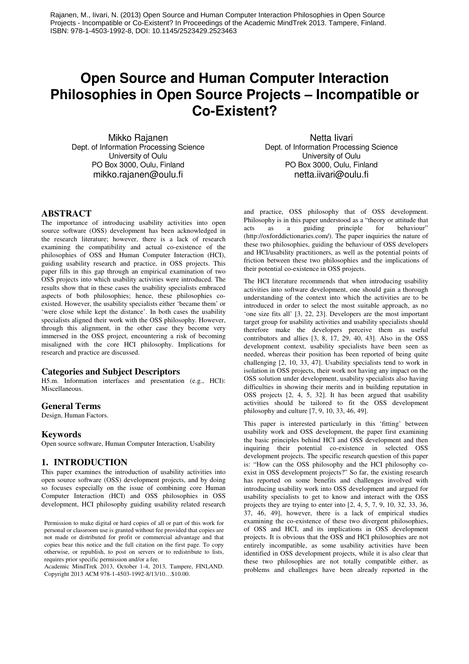# **Open Source and Human Computer Interaction Philosophies in Open Source Projects – Incompatible or Co-Existent?**

Mikko Rajanen Dept. of Information Processing Science University of Oulu PO Box 3000, Oulu, Finland mikko.rajanen@oulu.fi

Netta Iivari Dept. of Information Processing Science University of Oulu PO Box 3000, Oulu, Finland netta.iivari@oulu.fi

## **ABSTRACT**

The importance of introducing usability activities into open source software (OSS) development has been acknowledged in the research literature; however, there is a lack of research examining the compatibility and actual co-existence of the philosophies of OSS and Human Computer Interaction (HCI), guiding usability research and practice, in OSS projects. This paper fills in this gap through an empirical examination of two OSS projects into which usability activities were introduced. The results show that in these cases the usability specialists embraced aspects of both philosophies; hence, these philosophies coexisted. However, the usability specialists either 'became them' or 'were close while kept the distance'. In both cases the usability specialists aligned their work with the OSS philosophy. However, through this alignment, in the other case they become very immersed in the OSS project, encountering a risk of becoming misaligned with the core HCI philosophy. Implications for research and practice are discussed.

#### **Categories and Subject Descriptors**

H5.m. Information interfaces and presentation (e.g., HCI): Miscellaneous.

#### **General Terms**

Design, Human Factors.

#### **Keywords**

Open source software, Human Computer Interaction, Usability

#### **1. INTRODUCTION**

This paper examines the introduction of usability activities into open source software (OSS) development projects, and by doing so focuses especially on the issue of combining core Human Computer Interaction (HCI) and OSS philosophies in OSS development, HCI philosophy guiding usability related research

Permission to make digital or hard copies of all or part of this work for personal or classroom use is granted without fee provided that copies are not made or distributed for profit or commercial advantage and that copies bear this notice and the full citation on the first page. To copy otherwise, or republish, to post on servers or to redistribute to lists, requires prior specific permission and/or a fee.

Academic MindTrek 2013, October 1-4, 2013, Tampere, FINLAND. Copyright 2013 ACM 978-1-4503-1992-8/13/10…\$10.00.

and practice, OSS philosophy that of OSS development. Philosophy is in this paper understood as a "theory or attitude that acts as a guiding principle for behaviour" acts as a guiding principle for behaviour" (http://oxforddictionaries.com/). The paper inquiries the nature of these two philosophies, guiding the behaviour of OSS developers and HCI/usability practitioners, as well as the potential points of friction between these two philosophies and the implications of their potential co-existence in OSS projects.

The HCI literature recommends that when introducing usability activities into software development, one should gain a thorough understanding of the context into which the activities are to be introduced in order to select the most suitable approach, as no 'one size fits all' [3, 22, 23]. Developers are the most important target group for usability activities and usability specialists should therefore make the developers perceive them as useful contributors and allies [3, 8, 17, 29, 40, 43]. Also in the OSS development context, usability specialists have been seen as needed, whereas their position has been reported of being quite challenging [2, 10, 33, 47]. Usability specialists tend to work in isolation in OSS projects, their work not having any impact on the OSS solution under development, usability specialists also having difficulties in showing their merits and in building reputation in OSS projects [2, 4, 5, 32]. It has been argued that usability activities should be tailored to fit the OSS development philosophy and culture [7, 9, 10, 33, 46, 49].

This paper is interested particularly in this 'fitting' between usability work and OSS development, the paper first examining the basic principles behind HCI and OSS development and then inquiring their potential co-existence in selected OSS development projects. The specific research question of this paper is: "How can the OSS philosophy and the HCI philosophy coexist in OSS development projects?" So far, the existing research has reported on some benefits and challenges involved with introducing usability work into OSS development and argued for usability specialists to get to know and interact with the OSS projects they are trying to enter into [2, 4, 5, 7, 9, 10, 32, 33, 36, 37, 46, 49], however, there is a lack of empirical studies examining the co-existence of these two divergent philosophies, of OSS and HCI, and its implications in OSS development projects. It is obvious that the OSS and HCI philosophies are not entirely incompatible, as some usability activities have been identified in OSS development projects, while it is also clear that these two philosophies are not totally compatible either, as problems and challenges have been already reported in the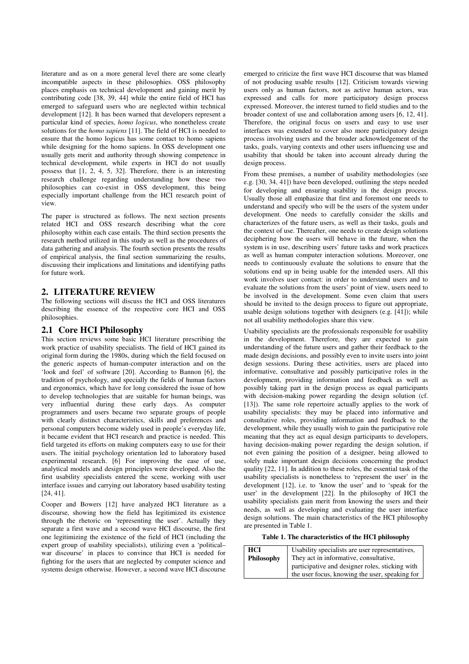literature and as on a more general level there are some clearly incompatible aspects in these philosophies. OSS philosophy places emphasis on technical development and gaining merit by contributing code [38, 39, 44] while the entire field of HCI has emerged to safeguard users who are neglected within technical development [12]. It has been warned that developers represent a particular kind of species, *homo logicus*, who nonetheless create solutions for the *homo sapiens* [11]. The field of HCI is needed to ensure that the homo logicus has some contact to homo sapiens while designing for the homo sapiens. In OSS development one usually gets merit and authority through showing competence in technical development, while experts in HCI do not usually possess that [1, 2, 4, 5, 32]. Therefore, there is an interesting research challenge regarding understanding how these two philosophies can co-exist in OSS development, this being especially important challenge from the HCI research point of view.

The paper is structured as follows. The next section presents related HCI and OSS research describing what the core philosophy within each case entails. The third section presents the research method utilized in this study as well as the procedures of data gathering and analysis. The fourth section presents the results of empirical analysis, the final section summarizing the results, discussing their implications and limitations and identifying paths for future work.

## **2. LITERATURE REVIEW**

The following sections will discuss the HCI and OSS literatures describing the essence of the respective core HCI and OSS philosophies.

# **2.1 Core HCI Philosophy**

This section reviews some basic HCI literature prescribing the work practice of usability specialists. The field of HCI gained its original form during the 1980s, during which the field focused on the generic aspects of human-computer interaction and on the 'look and feel' of software [20]. According to Bannon [6], the tradition of psychology, and specially the fields of human factors and ergonomics, which have for long considered the issue of how to develop technologies that are suitable for human beings, was very influential during these early days. As computer programmers and users became two separate groups of people with clearly distinct characteristics, skills and preferences and personal computers become widely used in people's everyday life, it became evident that HCI research and practice is needed. This field targeted its efforts on making computers easy to use for their users. The initial psychology orientation led to laboratory based experimental research. [6] For improving the ease of use, analytical models and design principles were developed. Also the first usability specialists entered the scene, working with user interface issues and carrying out laboratory based usability testing [24, 41].

Cooper and Bowers [12] have analyzed HCI literature as a discourse, showing how the field has legitimized its existence through the rhetoric on 'representing the user'. Actually they separate a first wave and a second wave HCI discourse, the first one legitimizing the existence of the field of HCI (including the expert group of usability specialists), utilizing even a 'political– war discourse' in places to convince that HCI is needed for fighting for the users that are neglected by computer science and systems design otherwise. However, a second wave HCI discourse

emerged to criticize the first wave HCI discourse that was blamed of not producing usable results [12]. Criticism towards viewing users only as human factors, not as active human actors, was expressed and calls for more participatory design process expressed. Moreover, the interest turned to field studies and to the broader context of use and collaboration among users [6, 12, 41]. Therefore, the original focus on users and easy to use user interfaces was extended to cover also more participatory design process involving users and the broader acknowledgement of the tasks, goals, varying contexts and other users influencing use and usability that should be taken into account already during the design process.

From these premises, a number of usability methodologies (see e.g. [30, 34, 41]) have been developed, outlining the steps needed for developing and ensuring usability in the design process. Usually those all emphasize that first and foremost one needs to understand and specify who will be the users of the system under development. One needs to carefully consider the skills and characterizes of the future users, as well as their tasks, goals and the context of use. Thereafter, one needs to create design solutions deciphering how the users will behave in the future, when the system is in use, describing users' future tasks and work practices as well as human computer interaction solutions. Moreover, one needs to continuously evaluate the solutions to ensure that the solutions end up in being usable for the intended users. All this work involves user contact: in order to understand users and to evaluate the solutions from the users' point of view, users need to be involved in the development. Some even claim that users should be invited to the design process to figure out appropriate, usable design solutions together with designers (e.g. [41]); while not all usability methodologies share this view.

Usability specialists are the professionals responsible for usability in the development. Therefore, they are expected to gain understanding of the future users and gather their feedback to the made design decisions, and possibly even to invite users into joint design sessions. During these activities, users are placed into informative, consultative and possibly participative roles in the development, providing information and feedback as well as possibly taking part in the design process as equal participants with decision-making power regarding the design solution (cf. [13]). The same role repertoire actually applies to the work of usability specialists: they may be placed into informative and consultative roles, providing information and feedback to the development, while they usually wish to gain the participative role meaning that they act as equal design participants to developers, having decision-making power regarding the design solution, if not even gaining the position of a designer, being allowed to solely make important design decisions concerning the product quality [22, 11]. In addition to these roles, the essential task of the usability specialists is nonetheless to 'represent the user' in the development [12], i.e. to 'know the user' and to 'speak for the user' in the development [22]. In the philosophy of HCI the usability specialists gain merit from knowing the users and their needs, as well as developing and evaluating the user interface design solutions. The main characteristics of the HCI philosophy are presented in Table 1.

**Table 1. The characteristics of the HCI philosophy** 

| <b>HCI</b> | Usability specialists are user representatives, |  |
|------------|-------------------------------------------------|--|
| Philosophy | They act in informative, consultative,          |  |
|            | participative and designer roles, sticking with |  |
|            | the user focus, knowing the user, speaking for  |  |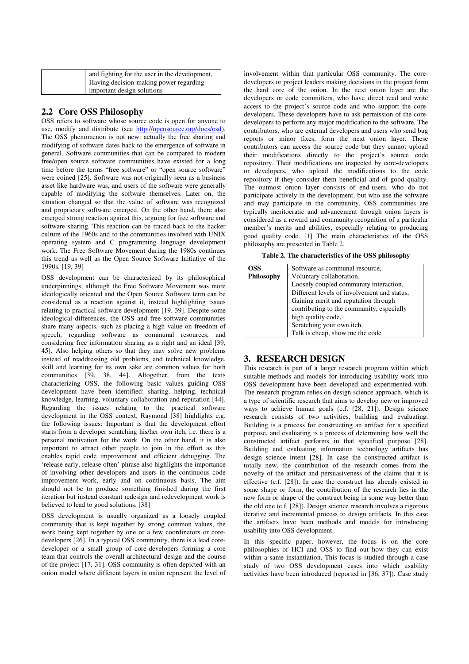| and fighting for the user in the development, |
|-----------------------------------------------|
| Having decision-making power regarding        |
| important design solutions                    |

## **2.2 Core OSS Philosophy**

OSS refers to software whose source code is open for anyone to use, modify and distribute (see http://opensource.org/docs/osd). The OSS phenomenon is not new: actually the free sharing and modifying of software dates back to the emergence of software in general. Software communities that can be compared to modern free/open source software communities have existed for a long time before the terms "free software" or "open source software" were coined [25]. Software was not originally seen as a business asset like hardware was, and users of the software were generally capable of modifying the software themselves. Later on, the situation changed so that the value of software was recognized and proprietary software emerged. On the other hand, there also emerged strong reaction against this, arguing for free software and software sharing. This reaction can be traced back to the hacker culture of the 1960s and to the communities involved with UNIX operating system and C programming language development work. The Free Software Movement during the 1980s continues this trend as well as the Open Source Software Initiative of the 1990s. [19, 39]

OSS development can be characterized by its philosophical underpinnings, although the Free Software Movement was more ideologically oriented and the Open Source Software term can be considered as a reaction against it, instead highlighting issues relating to practical software development [19, 39]. Despite some ideological differences, the OSS and free software communities share many aspects, such as placing a high value on freedom of speech, regarding software as communal resources, and considering free information sharing as a right and an ideal [39, 45]. Also helping others so that they may solve new problems instead of readdressing old problems, and technical knowledge, skill and learning for its own sake are common values for both communities [39, 38, 44]. Altogether, from the texts characterizing OSS, the following basic values guiding OSS development have been identified: sharing, helping, technical knowledge, learning, voluntary collaboration and reputation [44]. Regarding the issues relating to the practical software development in the OSS context, Raymond [38] highlights e.g. the following issues: Important is that the development effort starts from a developer scratching his/her own itch, i.e. there is a personal motivation for the work. On the other hand, it is also important to attract other people to join in the effort as this enables rapid code improvement and efficient debugging. The 'release early, release often' phrase also highlights the importance of involving other developers and users in the continuous code improvement work, early and on continuous basis. The aim should not be to produce something finished during the first iteration but instead constant redesign and redevelopment work is believed to lead to good solutions. [38]

OSS development is usually organized as a loosely coupled community that is kept together by strong common values, the work being kept together by one or a few coordinators or coredevelopers [26]. In a typical OSS community, there is a lead coredeveloper or a small group of core-developers forming a core team that controls the overall architectural design and the course of the project [17, 31]. OSS community is often depicted with an onion model where different layers in onion represent the level of involvement within that particular OSS community. The coredevelopers or project leaders making decisions in the project form the hard core of the onion. In the next onion layer are the developers or code committers, who have direct read and write access to the project's source code and who support the coredevelopers. These developers have to ask permission of the coredevelopers to perform any major modification to the software. The contributors, who are external developers and users who send bug reports or minor fixes, form the next onion layer. These contributors can access the source code but they cannot upload their modifications directly to the project's source code repository. Their modifications are inspected by core-developers or developers, who upload the modifications to the code repository if they consider them beneficial and of good quality. The outmost onion layer consists of end-users, who do not participate actively in the development, but who use the software and may participate in the community. OSS communities are typically meritocratic and advancement through onion layers is considered as a reward and community recognition of a particular member's merits and abilities, especially relating to producing good quality code. [1] The main characteristics of the OSS philosophy are presented in Table 2.

**Table 2. The characteristics of the OSS philosophy** 

| <b>OSS</b> | Software as communal resource,              |  |  |
|------------|---------------------------------------------|--|--|
| Philosophy | Voluntary collaboration,                    |  |  |
|            | Loosely coupled community interaction,      |  |  |
|            | Different levels of involvement and status, |  |  |
|            | Gaining merit and reputation through        |  |  |
|            | contributing to the community, especially   |  |  |
|            | high quality code,                          |  |  |
|            | Scratching your own itch,                   |  |  |
|            | Talk is cheap, show me the code             |  |  |

# **3. RESEARCH DESIGN**

This research is part of a larger research program within which suitable methods and models for introducing usability work into OSS development have been developed and experimented with. The research program relies on design science approach, which is a type of scientific research that aims to develop new or improved ways to achieve human goals (c.f. [28, 21]). Design science research consists of two activities, building and evaluating. Building is a process for constructing an artifact for a specified purpose, and evaluating is a process of determining how well the constructed artifact performs in that specified purpose [28]. Building and evaluating information technology artifacts has design science intent [28]. In case the constructed artifact is totally new, the contribution of the research comes from the novelty of the artifact and persuasiveness of the claims that it is effective (c.f. [28]). In case the construct has already existed in some shape or form, the contribution of the research lies in the new form or shape of the construct being in some way better than the old one (c.f. [28]). Design science research involves a rigorous iterative and incremental process to design artifacts. In this case the artifacts have been methods and models for introducing usability into OSS development.

In this specific paper, however, the focus is on the core philosophies of HCI and OSS to find out how they can exist within a same instantiation. This focus is studied through a case study of two OSS development cases into which usability activities have been introduced (reported in [36, 37]). Case study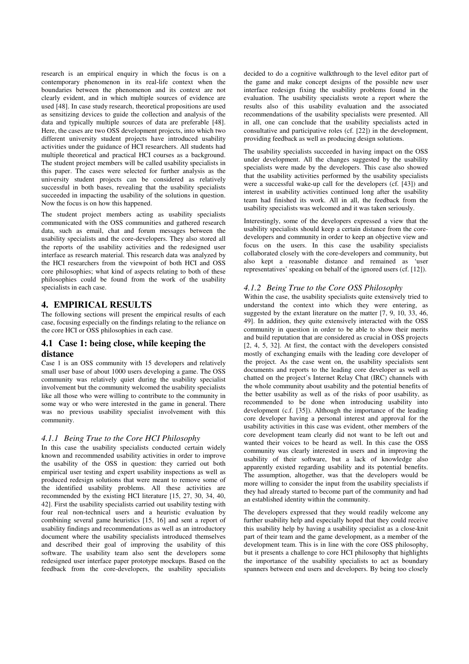research is an empirical enquiry in which the focus is on a contemporary phenomenon in its real-life context when the boundaries between the phenomenon and its context are not clearly evident, and in which multiple sources of evidence are used [48]. In case study research, theoretical propositions are used as sensitizing devices to guide the collection and analysis of the data and typically multiple sources of data are preferable [48]. Here, the cases are two OSS development projects, into which two different university student projects have introduced usability activities under the guidance of HCI researchers. All students had multiple theoretical and practical HCI courses as a background. The student project members will be called usability specialists in this paper. The cases were selected for further analysis as the university student projects can be considered as relatively successful in both bases, revealing that the usability specialists succeeded in impacting the usability of the solutions in question. Now the focus is on how this happened.

The student project members acting as usability specialists communicated with the OSS communities and gathered research data, such as email, chat and forum messages between the usability specialists and the core-developers. They also stored all the reports of the usability activities and the redesigned user interface as research material. This research data was analyzed by the HCI researchers from the viewpoint of both HCI and OSS core philosophies; what kind of aspects relating to both of these philosophies could be found from the work of the usability specialists in each case.

## **4. EMPIRICAL RESULTS**

The following sections will present the empirical results of each case, focusing especially on the findings relating to the reliance on the core HCI or OSS philosophies in each case.

## **4.1 Case 1: being close, while keeping the distance**

Case 1 is an OSS community with 15 developers and relatively small user base of about 1000 users developing a game. The OSS community was relatively quiet during the usability specialist involvement but the community welcomed the usability specialists like all those who were willing to contribute to the community in some way or who were interested in the game in general. There was no previous usability specialist involvement with this community.

#### *4.1.1 Being True to the Core HCI Philosophy*

In this case the usability specialists conducted certain widely known and recommended usability activities in order to improve the usability of the OSS in question: they carried out both empirical user testing and expert usability inspections as well as produced redesign solutions that were meant to remove some of the identified usability problems. All these activities are recommended by the existing HCI literature [15, 27, 30, 34, 40, 42]. First the usability specialists carried out usability testing with four real non-technical users and a heuristic evaluation by combining several game heuristics [15, 16] and sent a report of usability findings and recommendations as well as an introductory document where the usability specialists introduced themselves and described their goal of improving the usability of this software. The usability team also sent the developers some redesigned user interface paper prototype mockups. Based on the feedback from the core-developers, the usability specialists

decided to do a cognitive walkthrough to the level editor part of the game and make concept designs of the possible new user interface redesign fixing the usability problems found in the evaluation. The usability specialists wrote a report where the results also of this usability evaluation and the associated recommendations of the usability specialists were presented. All in all, one can conclude that the usability specialists acted in consultative and participative roles (cf. [22]) in the development, providing feedback as well as producing design solutions.

The usability specialists succeeded in having impact on the OSS under development. All the changes suggested by the usability specialists were made by the developers. This case also showed that the usability activities performed by the usability specialists were a successful wake-up call for the developers (cf. [43]) and interest in usability activities continued long after the usability team had finished its work. All in all, the feedback from the usability specialists was welcomed and it was taken seriously.

Interestingly, some of the developers expressed a view that the usability specialists should keep a certain distance from the coredevelopers and community in order to keep an objective view and focus on the users. In this case the usability specialists collaborated closely with the core-developers and community, but also kept a reasonable distance and remained as 'user representatives' speaking on behalf of the ignored users (cf. [12]).

#### *4.1.2 Being True to the Core OSS Philosophy*

Within the case, the usability specialists quite extensively tried to understand the context into which they were entering, as suggested by the extant literature on the matter [7, 9, 10, 33, 46, 49]. In addition, they quite extensively interacted with the OSS community in question in order to be able to show their merits and build reputation that are considered as crucial in OSS projects [2, 4, 5, 32]. At first, the contact with the developers consisted mostly of exchanging emails with the leading core developer of the project. As the case went on, the usability specialists sent documents and reports to the leading core developer as well as chatted on the project's Internet Relay Chat (IRC) channels with the whole community about usability and the potential benefits of the better usability as well as of the risks of poor usability, as recommended to be done when introducing usability into development (c.f. [35]). Although the importance of the leading core developer having a personal interest and approval for the usability activities in this case was evident, other members of the core development team clearly did not want to be left out and wanted their voices to be heard as well. In this case the OSS community was clearly interested in users and in improving the usability of their software, but a lack of knowledge also apparently existed regarding usability and its potential benefits. The assumption, altogether, was that the developers would be more willing to consider the input from the usability specialists if they had already started to become part of the community and had an established identity within the community.

The developers expressed that they would readily welcome any further usability help and especially hoped that they could receive this usability help by having a usability specialist as a close-knit part of their team and the game development, as a member of the development team. This is in line with the core OSS philosophy, but it presents a challenge to core HCI philosophy that highlights the importance of the usability specialists to act as boundary spanners between end users and developers. By being too closely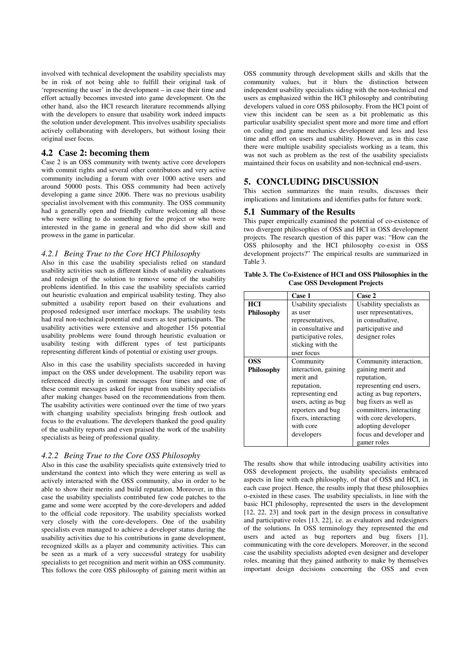involved with technical development the usability specialists may be in risk of not being able to fulfill their original task of 'representing the user' in the development – in case their time and effort actually becomes invested into game development. On the other hand, also the HCI research literature recommends allying with the developers to ensure that usability work indeed impacts the solution under development. This involves usability specialists actively collaborating with developers, but without losing their original user focus.

#### **4.2 Case 2: becoming them**

Case 2 is an OSS community with twenty active core developers with commit rights and several other contributors and very active community including a forum with over 1000 active users and around 50000 posts. This OSS community had been actively developing a game since 2006. There was no previous usability specialist involvement with this community. The OSS community had a generally open and friendly culture welcoming all those who were willing to do something for the project or who were interested in the game in general and who did show skill and prowess in the game in particular.

#### *4.2.1 Being True to the Core HCI Philosophy*

Also in this case the usability specialists relied on standard usability activities such as different kinds of usability evaluations and redesign of the solution to remove some of the usability problems identified. In this case the usability specialists carried out heuristic evaluation and empirical usability testing. They also submitted a usability report based on their evaluations and proposed redesigned user interface mockups. The usability tests had real non-technical potential end users as test participants. The usability activities were extensive and altogether 156 potential usability problems were found through heuristic evaluation or usability testing with different types of test participants representing different kinds of potential or existing user groups.

Also in this case the usability specialists succeeded in having impact on the OSS under development. The usability report was referenced directly in commit messages four times and one of these commit messages asked for input from usability specialists after making changes based on the recommendations from them. The usability activities were continued over the time of two years with changing usability specialists bringing fresh outlook and focus to the evaluations. The developers thanked the good quality of the usability reports and even praised the work of the usability specialists as being of professional quality.

## *4.2.2 Being True to the Core OSS Philosophy*

Also in this case the usability specialists quite extensively tried to understand the context into which they were entering as well as actively interacted with the OSS community, also in order to be able to show their merits and build reputation. Moreover, in this case the usability specialists contributed few code patches to the game and some were accepted by the core-developers and added to the official code repository. The usability specialists worked very closely with the core-developers. One of the usability specialists even managed to achieve a developer status during the usability activities due to his contributions in game development, recognized skills as a player and community activities. This can be seen as a mark of a very successful strategy for usability specialists to get recognition and merit within an OSS community. This follows the core OSS philosophy of gaining merit within an OSS community through development skills and skills that the community values, but it blurs the distinction between independent usability specialists siding with the non-technical end users as emphasized within the HCI philosophy and contributing developers valued in core OSS philosophy. From the HCI point of view this incident can be seen as a bit problematic as this particular usability specialist spent more and more time and effort on coding and game mechanics development and less and less time and effort on users and usability. However, as in this case there were multiple usability specialists working as a team, this was not such as problem as the rest of the usability specialists maintained their focus on usability and non-technical end-users.

#### **5. CONCLUDING DISCUSSION**

This section summarizes the main results, discusses their implications and limitations and identifies paths for future work.

#### **5.1 Summary of the Results**

This paper empirically examined the potential of co-existence of two divergent philosophies of OSS and HCI in OSS development projects. The research question of this paper was: "How can the OSS philosophy and the HCI philosophy co-exist in OSS development projects?" The empirical results are summarized in Table 3.

**Table 3. The Co-Existence of HCI and OSS Philosophies in the Case OSS Development Projects** 

|                   | Case 1                | Case 2                   |
|-------------------|-----------------------|--------------------------|
| HСI               | Usability specialists | Usability specialists as |
| Philosophy        | as user               | user representatives,    |
|                   | representatives,      | in consultative,         |
|                   | in consultative and   | participative and        |
|                   | participative roles,  | designer roles           |
|                   | sticking with the     |                          |
|                   | user focus            |                          |
| OSS               | Community             | Community interaction,   |
| <b>Philosophy</b> | interaction, gaining  | gaining merit and        |
|                   | merit and             | reputation,              |
|                   | reputation,           | representing end users,  |
|                   | representing end      | acting as bug reporters, |
|                   | users, acting as bug  | bug fixers as well as    |
|                   | reporters and bug     | committers, interacting  |
|                   | fixers, interacting   | with core developers,    |
|                   | with core             | adopting developer       |
|                   | developers            | focus and developer and  |
|                   |                       | gamer roles              |

The results show that while introducing usability activities into OSS development projects, the usability specialists embraced aspects in line with each philosophy, of that of OSS and HCI, in each case project. Hence, the results imply that these philosophies o-existed in these cases. The usability specialists, in line with the basic HCI philosophy, represented the users in the development [12, 22, 23] and took part in the design process in consultative and participative roles [13, 22], i.e. as evaluators and redesigners of the solutions. In OSS terminology they represented the end users and acted as bug reporters and bug fixers [1], communicating with the core developers. Moreover, in the second case the usability specialists adopted even designer and developer roles, meaning that they gained authority to make by themselves important design decisions concerning the OSS and even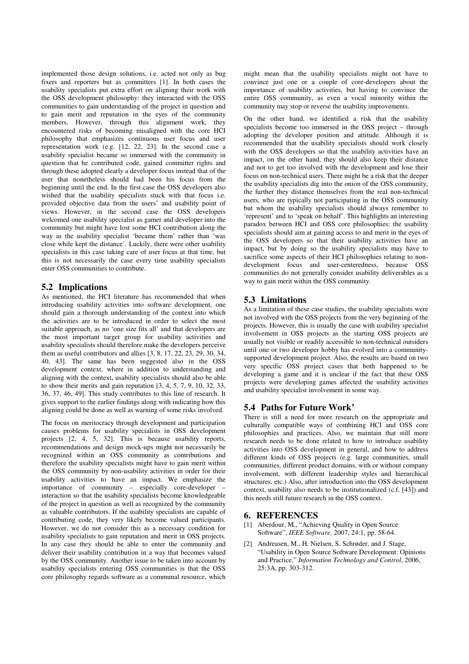implemented those design solutions, i.e. acted not only as bug fixers and reporters but as committers [1]. In both cases the usability specialists put extra effort on aligning their work with the OSS development philosophy: they interacted with the OSS communities to gain understanding of the project in question and to gain merit and reputation in the eyes of the community members. However, through this alignment work, they encountered risks of becoming misaligned with the core HCI philosophy that emphasizes continuous user focus and user representation work (e.g. [12, 22, 23]. In the second case a usability specialist became so immersed with the community in question that he contributed code, gained committer rights and through these adopted clearly a developer focus instead that of the user that nonetheless should had been his focus from the beginning until the end. In the first case the OSS developers also wished that the usability specialists stuck with that focus i.e. provided objective data from the users' and usability point of views. However, in the second case the OSS developers welcomed one usability specialist as gamer and developer into the community but might have lost some HCI contribution along the way as the usability specialist 'became them' rather than 'was close while kept the distance'. Luckily, there were other usability specialists in this case taking care of user focus at that time, but this is not necessarily the case every time usability specialists enter OSS communities to contribute.

## **5.2 Implications**

As mentioned, the HCI literature has recommended that when introducing usability activities into software development, one should gain a thorough understanding of the context into which the activities are to be introduced in order to select the most suitable approach, as no 'one size fits all' and that developers are the most important target group for usability activities and usability specialists should therefore make the developers perceive them as useful contributors and allies [3, 8, 17, 22, 23, 29, 30, 34, 40, 43]. The same has been suggested also in the OSS development context, where in addition to understanding and aligning with the context, usability specialists should also be able to show their merits and gain reputation [3, 4, 5, 7, 9, 10, 32, 33, 36, 37, 46, 49]. This study contributes to this line of research. It gives support to the earlier findings along with indicating how this aligning could be done as well as warning of some risks involved.

The focus on meritocracy through development and participation causes problems for usability specialists in OSS development projects [2, 4, 5, 32]. This is because usability reports, recommendations and design mock-ups might not necessarily be recognized within an OSS community as contributions and therefore the usability specialists might have to gain merit within the OSS community by non-usability activities in order for their usability activities to have an impact. We emphasize the importance of community – especially core-developer – interaction so that the usability specialists become knowledgeable of the project in question as well as recognized by the community as valuable contributors. If the usability specialists are capable of contributing code, they very likely become valued participants. However, we do not consider this as a necessary condition for usability specialists to gain reputation and merit in OSS projects. In any case they should be able to enter the community and deliver their usability contribution in a way that becomes valued by the OSS community. Another issue to be taken into account by usability specialists entering OSS communities is that the OSS core philosophy regards software as a communal resource, which

might mean that the usability specialists might not have to convince just one or a couple of core-developers about the importance of usability activities, but having to convince the entire OSS community, as even a vocal minority within the community may stop or reverse the usability improvements.

On the other hand, we identified a risk that the usability specialists become too immersed in the OSS project – through adopting the developer position and attitude. Although it is recommended that the usability specialists should work closely with the OSS developers so that the usability activities have an impact, on the other hand, they should also keep their distance and not to get too involved with the development and lose their focus on non-technical users. There might be a risk that the deeper the usability specialists dig into the onion of the OSS community, the further they distance themselves from the real non-technical users, who are typically not participating in the OSS community but whom the usability specialists should always remember to 'represent' and to 'speak on behalf'. This highlights an interesting paradox between HCI and OSS core philosophies: the usability specialists should aim at gaining access to and merit in the eyes of the OSS developers so that their usability activities have an impact, but by doing so the usability specialists may have to sacrifice some aspects of their HCI philosophies relating to nondevelopment focus and user-centeredness, because OSS communities do not generally consider usability deliverables as a way to gain merit within the OSS community.

# **5.3 Limitations**

As a limitation of these case studies, the usability specialists were not involved with the OSS projects from the very beginning of the projects. However, this is usually the case with usability specialist involvement in OSS projects as the starting OSS projects are usually not visible or readily accessible to non-technical outsiders until one or two developer hobby has evolved into a communitysupported development project. Also, the results are based on two very specific OSS project cases that both happened to be developing a game and it is unclear if the fact that these OSS projects were developing games affected the usability activities and usability specialist involvement in some way.

# **5.4 Paths for Future Work'**

There is still a need for more research on the appropriate and culturally compatible ways of combining HCI and OSS core philosophies and practices. Also, we maintain that still more research needs to be done related to how to introduce usability activities into OSS development in general, and how to address different kinds of OSS projects (e.g. large communities, small communities, different product domains, with or without company involvement, with different leadership styles and hierarchical structures, etc.) Also, after introduction into the OSS development context, usability also needs to be institutionalized (c.f. [43]) and this needs still future research in the OSS context.

## **6. REFERENCES**

- [1] Aberdour, M., "Achieving Quality in Open Source Software", *IEEE Software,* 2007, 24:1, pp. 58-64.
- [2] Andreasen, M., H. Nielsen, S. Schrøder, and J. Stage, "Usability in Open Source Software Development: Opinions and Practice," *Information Technology and Control*, 2006, 25:3A, pp. 303-312.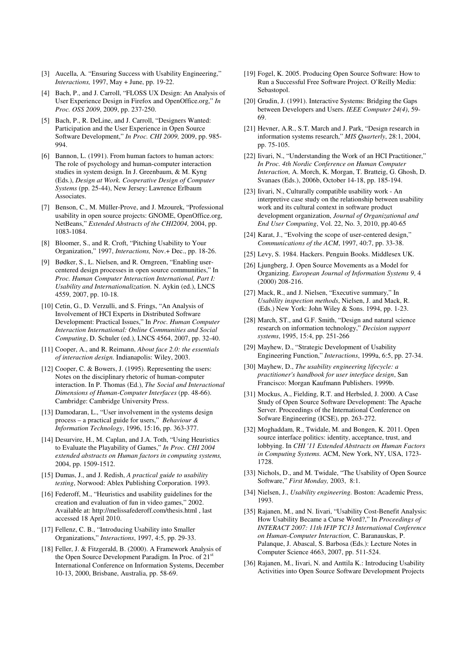- [3] Aucella, A. "Ensuring Success with Usability Engineering," *Interactions,* 1997, May + June, pp. 19-22.
- [4] Bach, P., and J. Carroll, "FLOSS UX Design: An Analysis of User Experience Design in Firefox and OpenOffice.org," *In Proc. OSS 2009*, 2009, pp. 237-250.
- [5] Bach, P., R. DeLine, and J. Carroll, "Designers Wanted: Participation and the User Experience in Open Source Software Development," *In Proc. CHI 2009,* 2009, pp. 985- 994.
- [6] Bannon, L. (1991). From human factors to human actors: The role of psychology and human-computer interaction studies in system design. In J. Greenbaum, & M. Kyng (Eds.), *Design at Work. Cooperative Design of Computer Systems* (pp. 25-44), New Jersey: Lawrence Erlbaum Associates.
- [7] Benson, C., M. Müller-Prove, and J. Mzourek, "Professional usability in open source projects: GNOME, OpenOffice.org, NetBeans," *Extended Abstracts of the CHI2004,* 2004, pp. 1083-1084.
- [8] Bloomer, S., and R. Croft, "Pitching Usability to Your Organization," 1997, *Interactions,* Nov.+ Dec., pp. 18-26.
- [9] Bødker, S., L. Nielsen, and R. Orngreen, "Enabling usercentered design processes in open source communities," In *Proc. Human Computer Interaction International, Part I: Usability and Internationalization.* N. Aykin (ed.), LNCS 4559, 2007, pp. 10-18.
- [10] Cetin, G., D. Verzulli, and S. Frings, "An Analysis of Involvement of HCI Experts in Distributed Software Development: Practical Issues," In *Proc. Human Computer Interaction International: Online Communities and Social Computing*, D. Schuler (ed.), LNCS 4564, 2007, pp. 32-40.
- [11] Cooper, A., and R. Reimann, *About face 2.0: the essentials of interaction design.* Indianapolis: Wiley, 2003.
- [12] Cooper, C. & Bowers, J. (1995). Representing the users: Notes on the disciplinary rhetoric of human-computer interaction. In P. Thomas (Ed.), *The Social and Interactional Dimensions of Human-Computer Interfaces* (pp. 48-66). Cambridge: Cambridge University Press.
- [13] Damodaran, L., "User involvement in the systems design process – a practical guide for users," *Behaviour & Information Technology*, 1996, 15:16, pp. 363-377.
- [14] Desurvire, H., M. Caplan, and J.A. Toth, "Using Heuristics to Evaluate the Playability of Games," *In Proc. CHI 2004 extended abstracts on Human factors in computing systems,* 2004, pp. 1509-1512.
- [15] Dumas, J., and J. Redish, *A practical guide to usability testing*, Norwood: Ablex Publishing Corporation. 1993.
- [16] Federoff, M., "Heuristics and usability guidelines for the creation and evaluation of fun in video games," 2002. Available at: http://melissafederoff.com/thesis.html , last accessed 18 April 2010.
- [17] Fellenz, C. B., "Introducing Usability into Smaller Organizations," *Interactions*, 1997, 4:5, pp. 29-33.
- [18] Feller, J. & Fitzgerald, B. (2000). A Framework Analysis of the Open Source Development Paradigm. In Proc. of 21<sup>st</sup> International Conference on Information Systems, December 10-13, 2000, Brisbane, Australia, pp. 58-69.
- [19] Fogel, K. 2005. Producing Open Source Software: How to Run a Successful Free Software Project. O'Reilly Media: Sebastopol.
- [20] Grudin, J. (1991). Interactive Systems: Bridging the Gaps between Developers and Users. *IEEE Computer 24(4)*, 59- 69.
- [21] Hevner, A.R., S.T. March and J. Park, "Design research in information systems research," *MIS Quarterly*, 28:1, 2004, pp. 75-105.
- [22] Iivari, N., "Understanding the Work of an HCI Practitioner," *In Proc. 4th Nordic Conference on Human Computer Interaction,* A. Morch, K. Morgan, T. Bratteig, G. Ghosh, D. Svanaes (Eds.), 2006b, October 14-18, pp. 185-194.
- [23] Iivari, N., Culturally compatible usability work An interpretive case study on the relationship between usability work and its cultural context in software product development organization, *Journal of Organizational and End User Computing*, Vol. 22, No. 3, 2010, pp.40-65
- [24] Karat, J., "Evolving the scope of user-centered design," *Communications of the ACM*, 1997, 40:7, pp. 33-38.
- [25] Levy, S. 1984. Hackers. Penguin Books. Middlesex UK.
- [26] Ljungberg, J. Open Source Movements as a Model for Organizing. *European Journal of Information Systems 9*, 4 (2000) 208-216.
- [27] Mack, R., and J. Nielsen, "Executive summary," In *Usability inspection methods*, Nielsen, J. and Mack, R. (Eds.) New York: John Wiley & Sons. 1994, pp. 1-23.
- [28] March, ST., and G.F. Smith, "Design and natural science research on information technology," *Decision support systems*, 1995, 15:4, pp. 251-266
- [29] Mayhew, D., "Strategic Development of Usability Engineering Function," *Interactions*, 1999a, 6:5, pp. 27-34.
- [30] Mayhew, D., *The usability engineering lifecycle: a practitioner's handbook for user interface design*, San Francisco: Morgan Kaufmann Publishers. 1999b.
- [31] Mockus, A., Fielding, R.T. and Herbsled, J. 2000. A Case Study of Open Source Software Development: The Apache Server. Proceedings of the International Conference on Sofware Engineering (ICSE), pp. 263-272.
- [32] Moghaddam, R., Twidale, M. and Bongen, K. 2011. Open source interface politics: identity, acceptance, trust, and lobbying. In *CHI '11 Extended Abstracts on Human Factors in Computing Systems.* ACM, New York, NY, USA, 1723- 1728.
- [33] Nichols, D., and M. Twidale, "The Usability of Open Source Software," *First Monday,* 2003, 8:1.
- [34] Nielsen, J., *Usability engineering.* Boston: Academic Press, 1993.
- [35] Rajanen, M., and N. Iivari, "Usability Cost-Benefit Analysis: How Usability Became a Curse Word?," In *Proceedings of INTERACT 2007: 11th IFIP TC13 International Conference on Human-Computer Interaction,* C. Baranauskas, P. Palanque, J. Abascal, S. Barbosa (Eds.): Lecture Notes in Computer Science 4663, 2007, pp. 511-524.
- [36] Rajanen, M., Iivari, N. and Anttila K.: Introducing Usability Activities into Open Source Software Development Projects